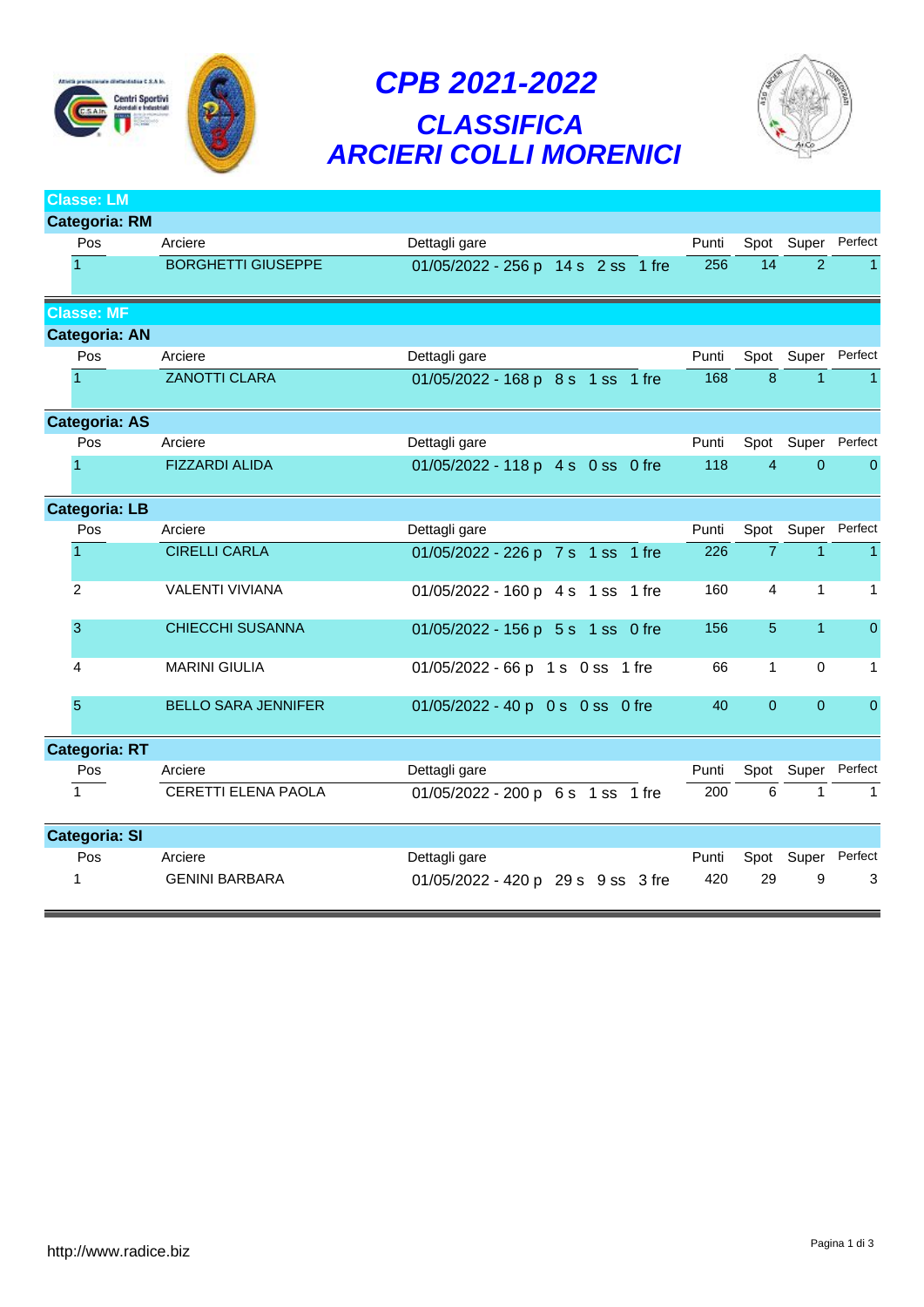

# *CPB 2021-2022 CLASSIFICA ARCIERI COLLI MORENICI*



| <b>Classe: LM</b>    |                            |                                    |       |                |                    |                    |
|----------------------|----------------------------|------------------------------------|-------|----------------|--------------------|--------------------|
| <b>Categoria: RM</b> |                            |                                    |       |                |                    |                    |
| Pos                  | Arciere                    | Dettagli gare                      | Punti |                | Spot Super         | Perfect            |
|                      | <b>BORGHETTI GIUSEPPE</b>  | 01/05/2022 - 256 p 14 s 2 ss 1 fre | 256   | 14             | $\overline{2}$     | $\mathbf{1}$       |
| <b>Classe: MF</b>    |                            |                                    |       |                |                    |                    |
| <b>Categoria: AN</b> |                            |                                    |       |                |                    |                    |
| Pos                  | Arciere                    | Dettagli gare                      | Punti |                | Spot Super Perfect |                    |
|                      | <b>ZANOTTI CLARA</b>       | 01/05/2022 - 168 p 8 s 1 ss 1 fre  | 168   | 8              | $\mathbf{1}$       | $\overline{1}$     |
| <b>Categoria: AS</b> |                            |                                    |       |                |                    |                    |
| Pos                  | Arciere                    | Dettagli gare                      | Punti |                |                    | Spot Super Perfect |
|                      | <b>FIZZARDI ALIDA</b>      | 01/05/2022 - 118 p 4 s 0 ss 0 fre  | 118   | $\overline{4}$ | $\Omega$           | $\mathbf{0}$       |
| <b>Categoria: LB</b> |                            |                                    |       |                |                    |                    |
| Pos                  | Arciere                    | Dettagli gare                      | Punti | Spot           | Super              | Perfect            |
| $\overline{1}$       | <b>CIRELLI CARLA</b>       | 01/05/2022 - 226 p 7 s 1 ss 1 fre  | 226   | $\overline{7}$ | $\mathbf{1}$       | $\mathbf{1}$       |
| 2                    | VALENTI VIVIANA            | 01/05/2022 - 160 p 4 s 1 ss 1 fre  | 160   | $\overline{4}$ | $\mathbf{1}$       | $\mathbf{1}$       |
| 3                    | <b>CHIECCHI SUSANNA</b>    | 01/05/2022 - 156 p 5 s 1 ss 0 fre  | 156   | 5              | $\overline{1}$     | $\mathbf 0$        |
| 4                    | <b>MARINI GIULIA</b>       | 01/05/2022 - 66 p 1 s 0 ss 1 fre   | 66    | $\mathbf{1}$   | $\mathbf 0$        | $\mathbf{1}$       |
| 5                    | <b>BELLO SARA JENNIFER</b> | 01/05/2022 - 40 p 0 s 0 ss 0 fre   | 40    | $\overline{0}$ | $\overline{0}$     | $\boldsymbol{0}$   |
| <b>Categoria: RT</b> |                            |                                    |       |                |                    |                    |
| Pos                  | Arciere                    | Dettagli gare                      | Punti |                | Spot Super         | Perfect            |
| $\overline{1}$       | CERETTI ELENA PAOLA        | 01/05/2022 - 200 p 6 s 1 ss 1 fre  | 200   | 6              | $\mathbf{1}$       | $\mathbf{1}$       |
| <b>Categoria: SI</b> |                            |                                    |       |                |                    |                    |
| Pos                  | Arciere                    | Dettagli gare                      | Punti | Spot           |                    | Super Perfect      |
|                      | <b>GENINI BARBARA</b>      | 01/05/2022 - 420 p 29 s 9 ss 3 fre | 420   | 29             | 9                  | 3                  |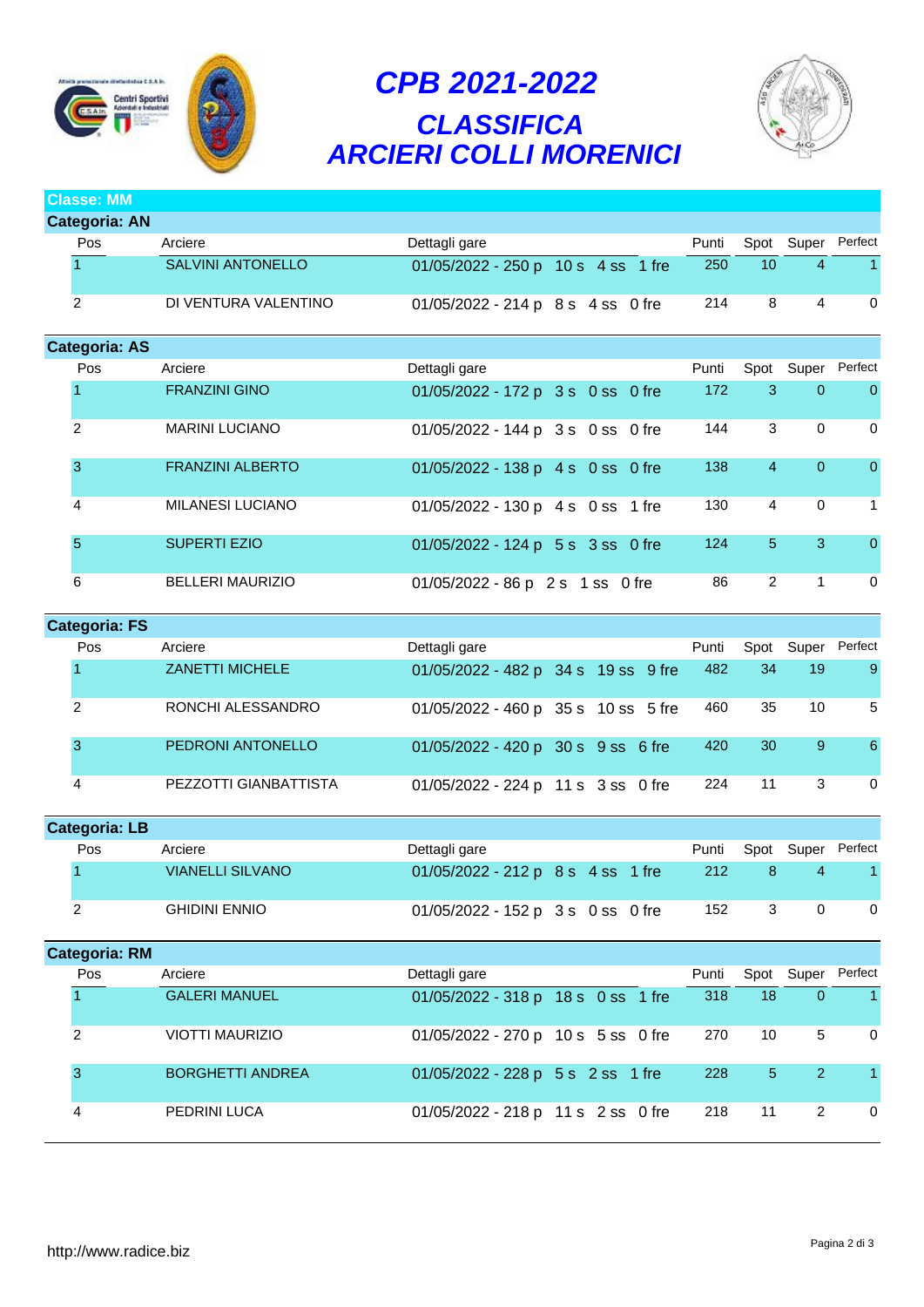

# *CPB 2021-2022 CLASSIFICA ARCIERI COLLI MORENICI*



**Classe: MM**

| <b>Categoria: AN</b> |                          |                                    |  |       |                 |                |                    |
|----------------------|--------------------------|------------------------------------|--|-------|-----------------|----------------|--------------------|
| <b>Pos</b>           | Arciere                  | Dettagli gare                      |  | Punti | Spot            | Super          | Perfect            |
|                      | <b>SALVINI ANTONELLO</b> | 01/05/2022 - 250 p 10 s 4 ss 1 fre |  | 250   | 10 <sup>°</sup> | 4              |                    |
| 2                    | DI VENTURA VALENTINO     | 01/05/2022 - 214 p 8 s 4 ss 0 fre  |  | 214   | 8               | 4              | 0                  |
| <b>Categoria: AS</b> |                          |                                    |  |       |                 |                |                    |
| Pos                  | Arciere                  | Dettagli gare                      |  | Punti |                 |                | Spot Super Perfect |
|                      | <b>FRANZINI GINO</b>     | 01/05/2022 - 172 p 3 s 0 ss 0 fre  |  | 172   | 3               | $\overline{0}$ | $\mathbf{0}$       |
| 2                    | <b>MARINI LUCIANO</b>    | 01/05/2022 - 144 p 3 s 0 ss 0 fre  |  | 144   | 3               | $\Omega$       | $\Omega$           |
| 3                    | <b>FRANZINI ALBERTO</b>  | 01/05/2022 - 138 p 4 s 0 ss 0 fre  |  | 138   | 4               | $\overline{0}$ | $\overline{0}$     |
| 4                    | <b>MILANESI LUCIANO</b>  | 01/05/2022 - 130 p 4 s 0 ss 1 fre  |  | 130   | 4               | $\mathbf 0$    | 1                  |
| 5                    | <b>SUPERTI EZIO</b>      | 01/05/2022 - 124 p 5 s 3 ss 0 fre  |  | 124   | 5               | 3              | $\mathbf{0}$       |
| 6                    | <b>BELLERI MAURIZIO</b>  | 01/05/2022 - 86 p 2 s 1 ss 0 fre   |  | 86    | $\overline{2}$  | 1              | 0                  |

| <b>Categoria: FS</b> |     |                        |                                     |  |  |  |       |    |            |                |
|----------------------|-----|------------------------|-------------------------------------|--|--|--|-------|----|------------|----------------|
|                      | Pos | Arciere                | Dettagli gare                       |  |  |  | Punti |    | Spot Super | Perfect        |
|                      |     | <b>ZANETTI MICHELE</b> | 01/05/2022 - 482 p 34 s 19 ss 9 fre |  |  |  | 482   | 34 | 19         | $\overline{9}$ |
|                      | 2   | RONCHI ALESSANDRO      | 01/05/2022 - 460 p 35 s 10 ss 5 fre |  |  |  | 460   | 35 | 10         | 5              |
|                      | 3   | PEDRONI ANTONELLO      | 01/05/2022 - 420 p 30 s 9 ss 6 fre  |  |  |  | 420   | 30 | 9          | 6              |
|                      | 4   | PEZZOTTI GIANBATTISTA  | 01/05/2022 - 224 p 11 s 3 ss 0 fre  |  |  |  | 224   | 11 | 3          | 0              |

| <b>Categoria: LB</b> |                         |                                   |  |       |            |         |
|----------------------|-------------------------|-----------------------------------|--|-------|------------|---------|
| Pos                  | Arciere                 | Dettagli gare                     |  | Punti | Spot Super | Perfect |
|                      | <b>VIANELLI SILVANO</b> | 01/05/2022 - 212 p 8 s 4 ss 1 fre |  | 212   |            |         |
|                      | <b>GHIDINI ENNIO</b>    | 01/05/2022 - 152 p 3 s 0 ss 0 fre |  | 152   |            |         |

| <b>Categoria: RM</b> |            |                         |                                    |       |                |                |                  |  |  |
|----------------------|------------|-------------------------|------------------------------------|-------|----------------|----------------|------------------|--|--|
|                      | <b>Pos</b> | Arciere                 | Dettagli gare                      | Punti |                | Spot Super     | Perfect          |  |  |
|                      |            | <b>GALERI MANUEL</b>    | 01/05/2022 - 318 p 18 s 0 ss 1 fre | 318   | 18             | $\overline{0}$ | $\blacksquare$ 1 |  |  |
|                      | 2          | VIOTTI MAURIZIO         | 01/05/2022 - 270 p 10 s 5 ss 0 fre | 270   | 10             | 5.             | $\Omega$         |  |  |
|                      | 3          | <b>BORGHETTI ANDREA</b> | 01/05/2022 - 228 p 5 s 2 ss 1 fre  | 228   | 5 <sup>1</sup> | 2              |                  |  |  |
|                      | 4          | PEDRINI LUCA            | 01/05/2022 - 218 p 11 s 2 ss 0 fre | 218   | 11             | 2              | $\Omega$         |  |  |